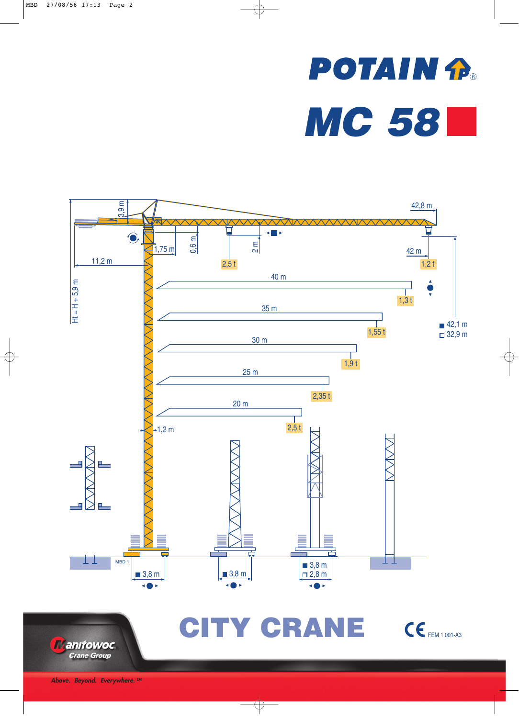## **POTAIN fP**® *MC 58*





CITY CRANE CE FEM 1.001-A3

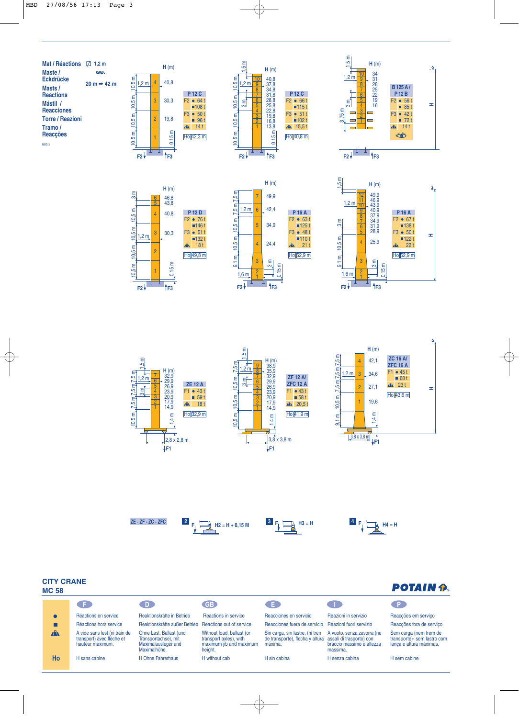











**POTAIN A** 

## **CITY CRANE MC 58**

| סכ טוע       |                                                                                |                                                                                        |                                                                                           |                                                                                                        |                                                                     |                                                                                   |
|--------------|--------------------------------------------------------------------------------|----------------------------------------------------------------------------------------|-------------------------------------------------------------------------------------------|--------------------------------------------------------------------------------------------------------|---------------------------------------------------------------------|-----------------------------------------------------------------------------------|
|              | - F -                                                                          | D.                                                                                     | <b>GB</b>                                                                                 | CE.                                                                                                    |                                                                     |                                                                                   |
|              | Réactions en service                                                           | Reaktionskräfte in Betrieb                                                             | Reactions in service                                                                      | Reacciones en servicio                                                                                 | Reazioni in servizio                                                | Reaccões em servico                                                               |
|              | Réactions hors service                                                         | Reaktionskräfte außer Betrieb Reactions out of service                                 |                                                                                           | Reacciones fuera de servicio Reazioni fuori servizio                                                   |                                                                     | Reaccões fora de servico                                                          |
| $\mathbf{A}$ | A vide sans lest (ni train de<br>transport) avec flèche et<br>hauteur maximum. | Ohne Last, Ballast (und<br>Transportachse), mit<br>Maximalausleger und<br>Maximalhöhe. | Without load, ballast (or<br>transport axles), with<br>maximum jib and maximum<br>height. | Sin carga, sin lastre, (ni tren<br>de transporte), flecha y altura assali di trasporto) con<br>máxima. | A vuoto, senza zavorra (ne<br>braccio massimo e altezza<br>massima. | Sem carga (nem trem de<br>transporte) - sem lastro com<br>lança e altura máximas. |
| Ho           | H sans cabine                                                                  | H Ohne Fahrerhaus                                                                      | H without cab                                                                             | H sin cabina                                                                                           | H senza cabina                                                      | H sem cabine                                                                      |
|              |                                                                                |                                                                                        |                                                                                           |                                                                                                        |                                                                     |                                                                                   |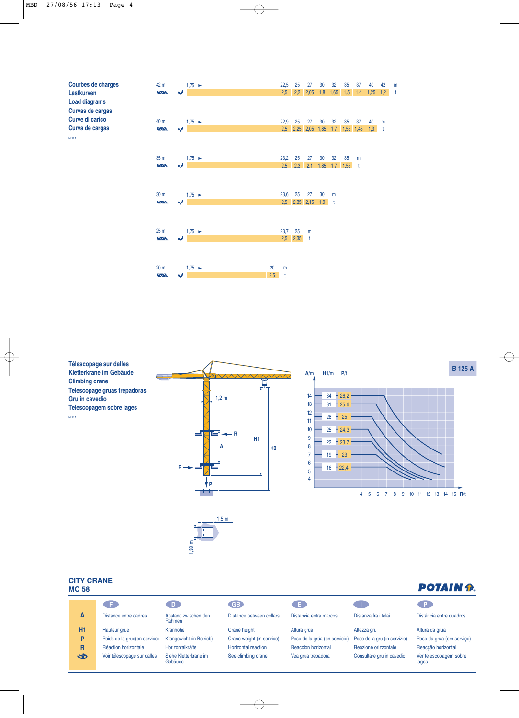

**Télescopage sur dalles Kletterkrane im Gebäude Climbing crane Telescopage gruas trepadoras Gru in cavedio Telescopagem sobre lages** MBD 1





**POTAIN P.** 

**B 125 A**

## **CITY CRANE MC 58**

|                              | D.                               | <b>GB</b>                  | Œ                             |                              | $\blacksquare$ P                |
|------------------------------|----------------------------------|----------------------------|-------------------------------|------------------------------|---------------------------------|
| Distance entre cadres        | Abstand zwischen den<br>Rahmen   | Distance between collars   | Distancia entra marcos        | Distanza fra i telai         | Distância entre quadros         |
| Hauteur grue                 | Kranhöhe                         | Crane height               | Altura grúa                   | Altezza gru                  | Altura da grua                  |
| Poids de la grue(en service) |                                  | Crane weight (in service)  | Peso de la grúa (en servicio) | Peso della gru (in servizio) | Peso da grua (em serviço)       |
| Réaction horizontale         | Horizontalkräfte                 | <b>Horizontal reaction</b> | <b>Reaccion horizontal</b>    | Reazione orizzontale         | Reaccão horizontal              |
| Voir télescopage sur dalles  | Siehe Kletterkrane im<br>Gebäude | See climbing crane         | Vea grua trepadora            | Consultare gru in cavedio    | Ver telescopagem sobre<br>lages |
|                              |                                  | Krangewicht (in Betrieb)   |                               |                              |                                 |